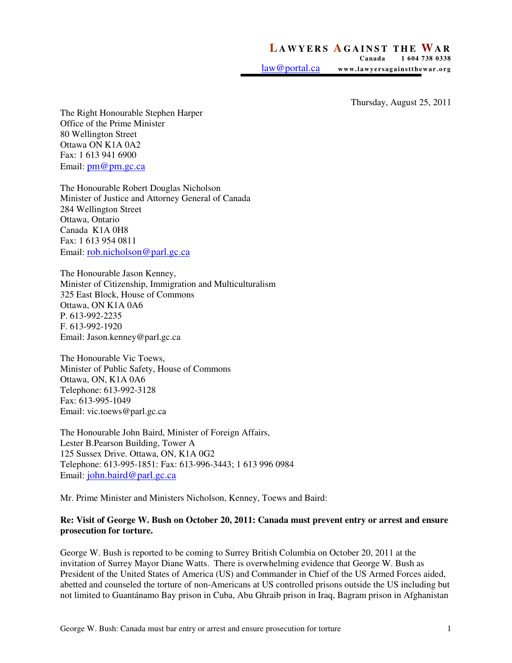## **LAWYERS AGAINST THE WAR**<br>Canada 1604 738 0338

 **Canada 1 604 738 0338**  law@portal.ca www.lawyersagainstthewar.org

Thursday, August 25, 2011

The Right Honourable Stephen Harper Office of the Prime Minister 80 Wellington Street Ottawa ON K1A 0A2 Fax: 1 613 941 6900 Email: pm@pm.gc.ca

The Honourable Robert Douglas Nicholson Minister of Justice and Attorney General of Canada 284 Wellington Street Ottawa, Ontario Canada K1A 0H8 Fax: 1 613 954 0811 Email: rob.nicholson@parl.gc.ca

The Honourable Jason Kenney, Minister of Citizenship, Immigration and Multiculturalism 325 East Block, House of Commons Ottawa, ON K1A 0A6 P. 613-992-2235 F. 613-992-1920 Email: Jason.kenney@parl.gc.ca

The Honourable Vic Toews, Minister of Public Safety, House of Commons Ottawa, ON, K1A 0A6 Telephone: 613-992-3128 Fax: 613-995-1049 Email: vic.toews@parl.gc.ca

The Honourable John Baird, Minister of Foreign Affairs, Lester B.Pearson Building, Tower A 125 Sussex Drive. Ottawa, ON, K1A 0G2 Telephone: 613-995-1851: Fax: 613-996-3443; 1 613 996 0984 Email: john.baird@parl.gc.ca

Mr. Prime Minister and Ministers Nicholson, Kenney, Toews and Baird:

## **Re: Visit of George W. Bush on October 20, 2011: Canada must prevent entry or arrest and ensure prosecution for torture.**

George W. Bush is reported to be coming to Surrey British Columbia on October 20, 2011 at the invitation of Surrey Mayor Diane Watts. There is overwhelming evidence that George W. Bush as President of the United States of America (US) and Commander in Chief of the US Armed Forces aided, abetted and counseled the torture of non-Americans at US controlled prisons outside the US including but not limited to Guantánamo Bay prison in Cuba, Abu Ghraib prison in Iraq, Bagram prison in Afghanistan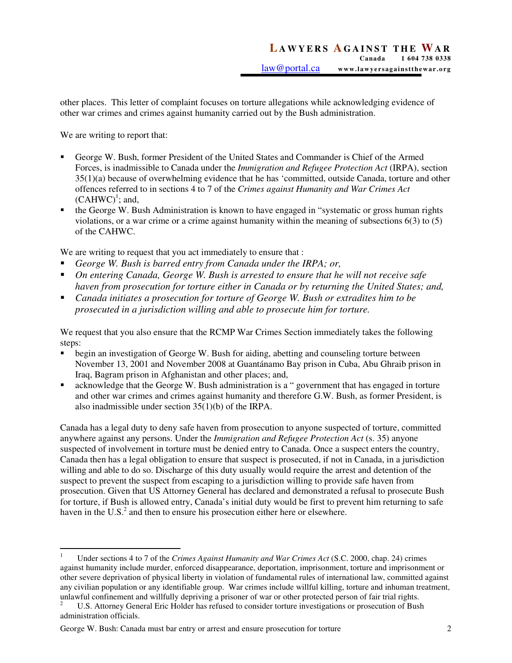other places. This letter of complaint focuses on torture allegations while acknowledging evidence of other war crimes and crimes against humanity carried out by the Bush administration.

We are writing to report that:

- George W. Bush, former President of the United States and Commander is Chief of the Armed Forces, is inadmissible to Canada under the *Immigration and Refugee Protection Act* (IRPA), section 35(1)(a) because of overwhelming evidence that he has 'committed, outside Canada, torture and other offences referred to in sections 4 to 7 of the *Crimes against Humanity and War Crimes Act*   $(CAHWC)^1$ ; and,
- the George W. Bush Administration is known to have engaged in "systematic or gross human rights violations, or a war crime or a crime against humanity within the meaning of subsections 6(3) to (5) of the CAHWC.

We are writing to request that you act immediately to ensure that :

- *George W. Bush is barred entry from Canada under the IRPA; or,*
- *On entering Canada, George W. Bush is arrested to ensure that he will not receive safe haven from prosecution for torture either in Canada or by returning the United States; and,*
- *Canada initiates a prosecution for torture of George W. Bush or extradites him to be prosecuted in a jurisdiction willing and able to prosecute him for torture.*

We request that you also ensure that the RCMP War Crimes Section immediately takes the following steps:

- begin an investigation of George W. Bush for aiding, abetting and counseling torture between November 13, 2001 and November 2008 at Guantánamo Bay prison in Cuba, Abu Ghraib prison in Iraq, Bagram prison in Afghanistan and other places; and,
- acknowledge that the George W. Bush administration is a " government that has engaged in torture and other war crimes and crimes against humanity and therefore G.W. Bush, as former President, is also inadmissible under section 35(1)(b) of the IRPA.

Canada has a legal duty to deny safe haven from prosecution to anyone suspected of torture, committed anywhere against any persons. Under the *Immigration and Refugee Protection Act* (s. 35) anyone suspected of involvement in torture must be denied entry to Canada. Once a suspect enters the country, Canada then has a legal obligation to ensure that suspect is prosecuted, if not in Canada, in a jurisdiction willing and able to do so. Discharge of this duty usually would require the arrest and detention of the suspect to prevent the suspect from escaping to a jurisdiction willing to provide safe haven from prosecution. Given that US Attorney General has declared and demonstrated a refusal to prosecute Bush for torture, if Bush is allowed entry, Canada's initial duty would be first to prevent him returning to safe haven in the U.S.<sup>2</sup> and then to ensure his prosecution either here or elsewhere.

 $\overline{a}$ 1 Under sections 4 to 7 of the *Crimes Against Humanity and War Crimes Act* (S.C. 2000, chap. 24) crimes against humanity include murder, enforced disappearance, deportation, imprisonment, torture and imprisonment or other severe deprivation of physical liberty in violation of fundamental rules of international law, committed against any civilian population or any identifiable group. War crimes include willful killing, torture and inhuman treatment, unlawful confinement and willfully depriving a prisoner of war or other protected person of fair trial rights.

<sup>2</sup> U.S. Attorney General Eric Holder has refused to consider torture investigations or prosecution of Bush administration officials.

George W. Bush: Canada must bar entry or arrest and ensure prosecution for torture 2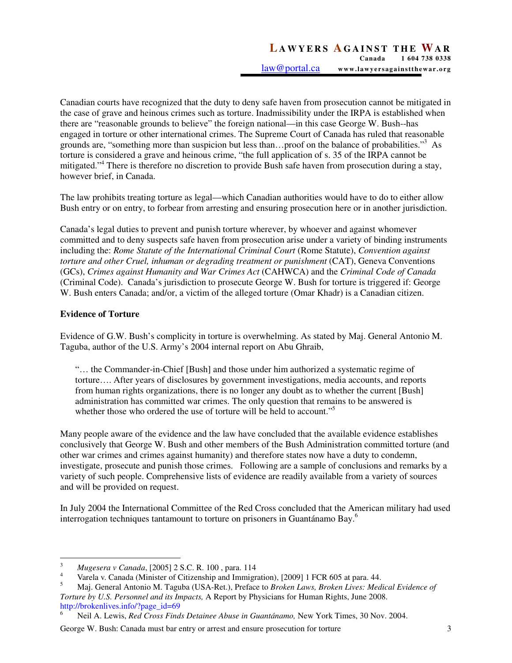Canadian courts have recognized that the duty to deny safe haven from prosecution cannot be mitigated in the case of grave and heinous crimes such as torture. Inadmissibility under the IRPA is established when there are "reasonable grounds to believe" the foreign national—in this case George W. Bush--has engaged in torture or other international crimes. The Supreme Court of Canada has ruled that reasonable grounds are, "something more than suspicion but less than...proof on the balance of probabilities."<sup>3</sup> As torture is considered a grave and heinous crime, "the full application of s. 35 of the IRPA cannot be mitigated."<sup>4</sup> There is therefore no discretion to provide Bush safe haven from prosecution during a stay, however brief, in Canada.

The law prohibits treating torture as legal—which Canadian authorities would have to do to either allow Bush entry or on entry, to forbear from arresting and ensuring prosecution here or in another jurisdiction.

Canada's legal duties to prevent and punish torture wherever, by whoever and against whomever committed and to deny suspects safe haven from prosecution arise under a variety of binding instruments including the: *Rome Statute of the International Criminal Court* (Rome Statute), *Convention against torture and other Cruel, inhuman or degrading treatment or punishment* (CAT), Geneva Conventions (GCs), *Crimes against Humanity and War Crimes Act* (CAHWCA) and the *Criminal Code of Canada*  (Criminal Code). Canada's jurisdiction to prosecute George W. Bush for torture is triggered if: George W. Bush enters Canada; and/or, a victim of the alleged torture (Omar Khadr) is a Canadian citizen.

## **Evidence of Torture**

6

Evidence of G.W. Bush's complicity in torture is overwhelming. As stated by Maj. General Antonio M. Taguba, author of the U.S. Army's 2004 internal report on Abu Ghraib,

"… the Commander-in-Chief [Bush] and those under him authorized a systematic regime of torture…. After years of disclosures by government investigations, media accounts, and reports from human rights organizations, there is no longer any doubt as to whether the current [Bush] administration has committed war crimes. The only question that remains to be answered is whether those who ordered the use of torture will be held to account."<sup>5</sup>

Many people aware of the evidence and the law have concluded that the available evidence establishes conclusively that George W. Bush and other members of the Bush Administration committed torture (and other war crimes and crimes against humanity) and therefore states now have a duty to condemn, investigate, prosecute and punish those crimes. Following are a sample of conclusions and remarks by a variety of such people. Comprehensive lists of evidence are readily available from a variety of sources and will be provided on request.

In July 2004 the International Committee of the Red Cross concluded that the American military had used interrogation techniques tantamount to torture on prisoners in Guantánamo Bay.<sup>6</sup>

 3 *Mugesera v Canada*, [2005] 2 S.C. R. 100 , para. 114

<sup>4</sup> Varela v. Canada (Minister of Citizenship and Immigration), [2009] 1 FCR 605 at para. 44.

<sup>5</sup> Maj. General Antonio M. Taguba (USA-Ret.), Preface to *Broken Laws, Broken Lives: Medical Evidence of Torture by U.S. Personnel and its Impacts,* A Report by Physicians for Human Rights, June 2008. http://brokenlives.info/?page\_id=69

Neil A. Lewis, *Red Cross Finds Detainee Abuse in Guantánamo,* New York Times, 30 Nov. 2004.

George W. Bush: Canada must bar entry or arrest and ensure prosecution for torture 3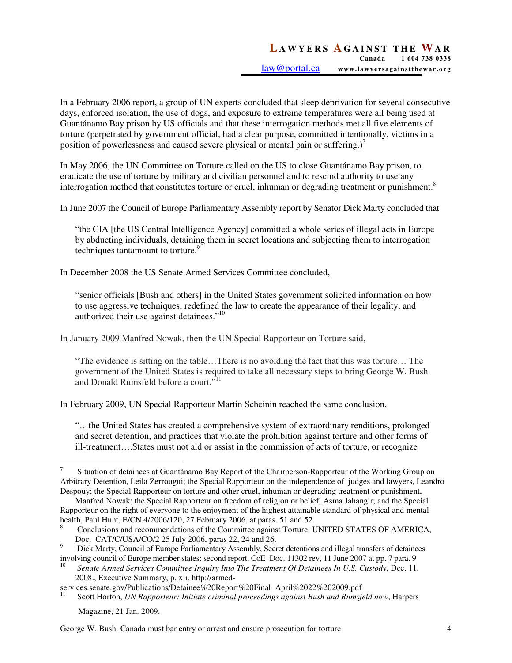In a February 2006 report, a group of UN experts concluded that sleep deprivation for several consecutive days, enforced isolation, the use of dogs, and exposure to extreme temperatures were all being used at Guantánamo Bay prison by US officials and that these interrogation methods met all five elements of torture (perpetrated by government official, had a clear purpose, committed intentionally, victims in a position of powerlessness and caused severe physical or mental pain or suffering.) $^7$ 

In May 2006, the UN Committee on Torture called on the US to close Guantánamo Bay prison, to eradicate the use of torture by military and civilian personnel and to rescind authority to use any interrogation method that constitutes torture or cruel, inhuman or degrading treatment or punishment.<sup>8</sup>

In June 2007 the Council of Europe Parliamentary Assembly report by Senator Dick Marty concluded that

"the CIA [the US Central Intelligence Agency] committed a whole series of illegal acts in Europe by abducting individuals, detaining them in secret locations and subjecting them to interrogation techniques tantamount to torture.<sup>9</sup>

In December 2008 the US Senate Armed Services Committee concluded,

"senior officials [Bush and others] in the United States government solicited information on how to use aggressive techniques, redefined the law to create the appearance of their legality, and authorized their use against detainees."<sup>10</sup>

In January 2009 Manfred Nowak, then the UN Special Rapporteur on Torture said,

"The evidence is sitting on the table…There is no avoiding the fact that this was torture… The government of the United States is required to take all necessary steps to bring George W. Bush and Donald Rumsfeld before a court."<sup>11</sup>

In February 2009, UN Special Rapporteur Martin Scheinin reached the same conclusion,

"…the United States has created a comprehensive system of extraordinary renditions, prolonged and secret detention, and practices that violate the prohibition against torture and other forms of ill-treatment….States must not aid or assist in the commission of acts of torture, or recognize

Magazine, 21 Jan. 2009.

 $\overline{a}$ 7 Situation of detainees at Guantánamo Bay Report of the Chairperson-Rapporteur of the Working Group on Arbitrary Detention, Leila Zerrougui; the Special Rapporteur on the independence of judges and lawyers, Leandro Despouy; the Special Rapporteur on torture and other cruel, inhuman or degrading treatment or punishment,

Manfred Nowak; the Special Rapporteur on freedom of religion or belief, Asma Jahangir; and the Special Rapporteur on the right of everyone to the enjoyment of the highest attainable standard of physical and mental health, Paul Hunt, E/CN.4/2006/120, 27 February 2006, at paras. 51 and 52.

<sup>8</sup> Conclusions and recommendations of the Committee against Torture: UNITED STATES OF AMERICA, Doc. CAT/C/USA/CO/2 25 July 2006, paras 22, 24 and 26.

<sup>9</sup> Dick Marty, Council of Europe Parliamentary Assembly, Secret detentions and illegal transfers of detainees involving council of Europe member states: second report, CoE Doc. 11302 rev, 11 June 2007 at pp. 7 para. 9

<sup>10</sup> *Senate Armed Services Committee Inquiry Into The Treatment Of Detainees In U.S. Custody*, Dec. 11, 2008., Executive Summary, p. xii. http://armed-

services.senate.gov/Publications/Detainee%20Report%20Final\_April%2022%202009.pdf

<sup>11</sup> Scott Horton, *UN Rapporteur: Initiate criminal proceedings against Bush and Rumsfeld now*, Harpers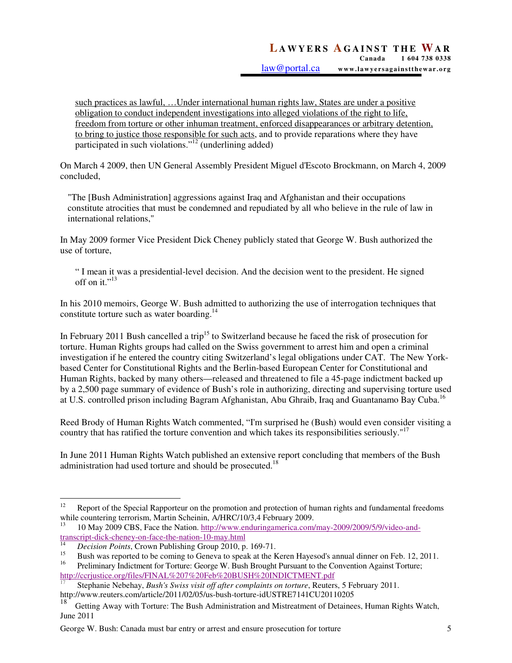such practices as lawful, …Under international human rights law, States are under a positive obligation to conduct independent investigations into alleged violations of the right to life, freedom from torture or other inhuman treatment, enforced disappearances or arbitrary detention, to bring to justice those responsible for such acts, and to provide reparations where they have participated in such violations."<sup>12</sup> (underlining added)

On March 4 2009, then UN General Assembly President Miguel d'Escoto Brockmann, on March 4, 2009 concluded,

"The [Bush Administration] aggressions against Iraq and Afghanistan and their occupations constitute atrocities that must be condemned and repudiated by all who believe in the rule of law in international relations,"

In May 2009 former Vice President Dick Cheney publicly stated that George W. Bush authorized the use of torture,

" I mean it was a presidential-level decision. And the decision went to the president. He signed off on it." $^{13}$ 

In his 2010 memoirs, George W. Bush admitted to authorizing the use of interrogation techniques that constitute torture such as water boarding.<sup>14</sup>

In February 2011 Bush cancelled a trip<sup>15</sup> to Switzerland because he faced the risk of prosecution for torture. Human Rights groups had called on the Swiss government to arrest him and open a criminal investigation if he entered the country citing Switzerland's legal obligations under CAT. The New Yorkbased Center for Constitutional Rights and the Berlin-based European Center for Constitutional and Human Rights, backed by many others—released and threatened to file a 45-page indictment backed up by a 2,500 page summary of evidence of Bush's role in authorizing, directing and supervising torture used at U.S. controlled prison including Bagram Afghanistan, Abu Ghraib, Iraq and Guantanamo Bay Cuba.<sup>16</sup>

Reed Brody of Human Rights Watch commented, "I'm surprised he (Bush) would even consider visiting a country that has ratified the torture convention and which takes its responsibilities seriously."<sup>17</sup>

In June 2011 Human Rights Watch published an extensive report concluding that members of the Bush administration had used torture and should be prosecuted.<sup>18</sup>

 $12\,$ Report of the Special Rapporteur on the promotion and protection of human rights and fundamental freedoms while countering terrorism, Martin Scheinin, A/HRC/10/3,4 February 2009.

<sup>13</sup> 10 May 2009 CBS, Face the Nation. http://www.enduringamerica.com/may-2009/2009/5/9/video-andtranscript-dick-cheney-on-face-the-nation-10-may.html<br><sup>14</sup> Decision Points Crown Publishing Group 2010.p

 $Decision Points$ , Crown Publishing Group 2010, p. 169-71.

<sup>&</sup>lt;sup>15</sup> Bush was reported to be coming to Geneva to speak at the Keren Hayesod's annual dinner on Feb. 12, 2011.<br><sup>16</sup> Braliminery Indictment for Torture: George W. Bush Brought Burguet to the Convention Agginst Torture:

<sup>16</sup> Preliminary Indictment for Torture: George W. Bush Brought Pursuant to the Convention Against Torture; http://ccrjustice.org/files/FINAL%207%20Feb%20BUSH%20INDICTMENT.pdf

<sup>17</sup> Stephanie Nebehay, *Bush's Swiss visit off after complaints on torture*, Reuters, 5 February 2011. http://www.reuters.com/article/2011/02/05/us-bush-torture-idUSTRE7141CU20110205

<sup>18</sup> Getting Away with Torture: The Bush Administration and Mistreatment of Detainees, Human Rights Watch, June 2011

George W. Bush: Canada must bar entry or arrest and ensure prosecution for torture 5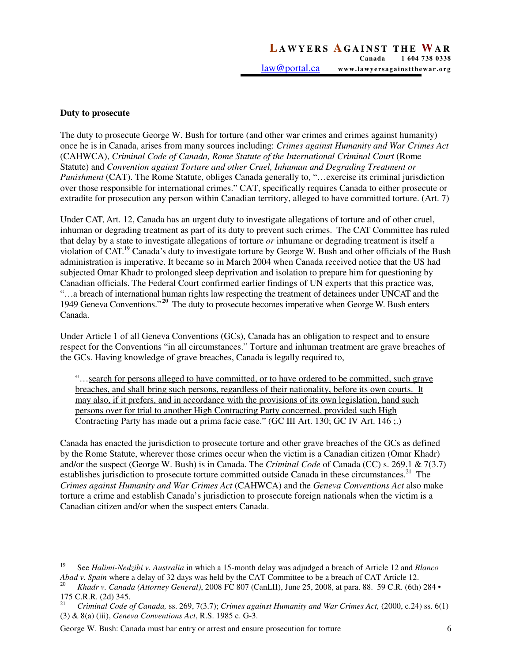## **Duty to prosecute**

The duty to prosecute George W. Bush for torture (and other war crimes and crimes against humanity) once he is in Canada, arises from many sources including: *Crimes against Humanity and War Crimes Act*  (CAHWCA), *Criminal Code of Canada, Rome Statute of the International Criminal Court* (Rome Statute) and *Convention against Torture and other Cruel, Inhuman and Degrading Treatment or Punishment* (CAT). The Rome Statute, obliges Canada generally to, "... exercise its criminal jurisdiction over those responsible for international crimes." CAT, specifically requires Canada to either prosecute or extradite for prosecution any person within Canadian territory, alleged to have committed torture. (Art. 7)

Under CAT, Art. 12, Canada has an urgent duty to investigate allegations of torture and of other cruel, inhuman or degrading treatment as part of its duty to prevent such crimes. The CAT Committee has ruled that delay by a state to investigate allegations of torture *or* inhumane or degrading treatment is itself a violation of CAT.<sup>19</sup> Canada's duty to investigate torture by George W. Bush and other officials of the Bush administration is imperative. It became so in March 2004 when Canada received notice that the US had subjected Omar Khadr to prolonged sleep deprivation and isolation to prepare him for questioning by Canadian officials. The Federal Court confirmed earlier findings of UN experts that this practice was, "…a breach of international human rights law respecting the treatment of detainees under UNCAT and the 1949 Geneva Conventions."**<sup>20</sup>** The duty to prosecute becomes imperative when George W. Bush enters Canada.

Under Article 1 of all Geneva Conventions (GCs), Canada has an obligation to respect and to ensure respect for the Conventions "in all circumstances." Torture and inhuman treatment are grave breaches of the GCs. Having knowledge of grave breaches, Canada is legally required to,

"…search for persons alleged to have committed, or to have ordered to be committed, such grave breaches, and shall bring such persons, regardless of their nationality, before its own courts. It may also, if it prefers, and in accordance with the provisions of its own legislation, hand such persons over for trial to another High Contracting Party concerned, provided such High Contracting Party has made out a prima facie case." (GC III Art. 130; GC IV Art. 146 ;.)

Canada has enacted the jurisdiction to prosecute torture and other grave breaches of the GCs as defined by the Rome Statute, wherever those crimes occur when the victim is a Canadian citizen (Omar Khadr) and/or the suspect (George W. Bush) is in Canada. The *Criminal Code* of Canada (CC) s. 269.1 & 7(3.7) establishes jurisdiction to prosecute torture committed outside Canada in these circumstances.<sup>21</sup> The *Crimes against Humanity and War Crimes Act* (CAHWCA) and the *Geneva Conventions Act* also make torture a crime and establish Canada's jurisdiction to prosecute foreign nationals when the victim is a Canadian citizen and/or when the suspect enters Canada.

George W. Bush: Canada must bar entry or arrest and ensure prosecution for torture 6

<sup>19</sup> <sup>19</sup> See *Halimi-Nedzibi v. Australia* in which a 15-month delay was adjudged a breach of Article 12 and *Blanco Abad v. Spain* where a delay of 32 days was held by the CAT Committee to be a breach of CAT Article 12.

<sup>20</sup> *Khadr v. Canada (Attorney General)*, 2008 FC 807 (CanLII), June 25, 2008, at para. 88. 59 C.R. (6th) 284 • 175 C.R.R. (2d) 345.

 $\overline{21}$  *Criminal Code of Canada,* ss. 269, 7(3.7); *Crimes against Humanity and War Crimes Act,* (2000, c.24) ss. 6(1) (3) & 8(a) (iii), *Geneva Conventions Act*, R.S. 1985 c. G-3.